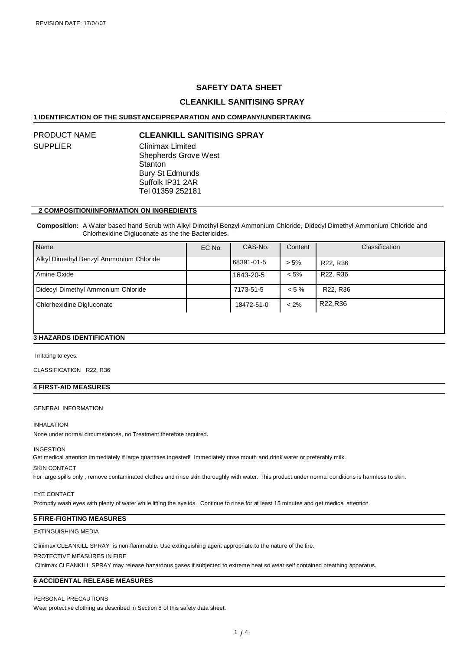## **SAFETY DATA SHEET**

## **CLEANKILL SANITISING SPRAY**

## **1 IDENTIFICATION OF THE SUBSTANCE/PREPARATION AND COMPANY/UNDERTAKING**

# SUPPLIER

# PRODUCT NAME **CLEANKILL SANITISING SPRAY**

Clinimax Limited Shepherds Grove West **Stanton** Bury St Edmunds Suffolk IP31 2AR Tel 01359 252181

#### **2 COMPOSITION/INFORMATION ON INGREDIENTS**

 **Composition:** A Water based hand Scrub with Alkyl Dimethyl Benzyl Ammonium Chloride, Didecyl Dimethyl Ammonium Chloride and Chlorhexidine Digluconate as the the Bactericides.

| l Name                                  | EC No. | CAS-No.    | Content  | <b>Classification</b>             |
|-----------------------------------------|--------|------------|----------|-----------------------------------|
| Alkyl Dimethyl Benzyl Ammonium Chloride |        | 68391-01-5 | $> 5\%$  | R <sub>22</sub> , R <sub>36</sub> |
| Amine Oxide                             |        | 1643-20-5  | $< 5\%$  | R <sub>22</sub> , R <sub>36</sub> |
| Didecyl Dimethyl Ammonium Chloride      |        | 7173-51-5  | $< 5 \%$ | R22, R36                          |
| Chlorhexidine Digluconate               |        | 18472-51-0 | $< 2\%$  | R22,R36                           |
|                                         |        |            |          |                                   |

#### **3 HAZARDS IDENTIFICATION**

Irritating to eyes.

CLASSIFICATION R22, R36

## **4 FIRST-AID MEASURES**

#### GENERAL INFORMATION

#### INHALATION

None under normal circumstances, no Treatment therefore required.

#### INGESTION

Get medical attention immediately if large quantities ingested! Immediately rinse mouth and drink water or preferably milk.

#### SKIN CONTACT

For large spills only , remove contaminated clothes and rinse skin thoroughly with water. This product under normal conditions is harmless to skin.

#### EYE CONTACT

Promptly wash eyes with plenty of water while lifting the eyelids. Continue to rinse for at least 15 minutes and get medical attention.

#### **5 FIRE-FIGHTING MEASURES**

#### EXTINGUISHING MEDIA

Clinimax CLEANKILL SPRAY is non-flammable. Use extinguishing agent appropriate to the nature of the fire.

PROTECTIVE MEASURES IN FIRE

Clinimax CLEANKILL SPRAY may release hazardous gases if subjected to extreme heat so wear self contained breathing apparatus.

## **6 ACCIDENTAL RELEASE MEASURES**

#### PERSONAL PRECAUTIONS

Wear protective clothing as described in Section 8 of this safety data sheet.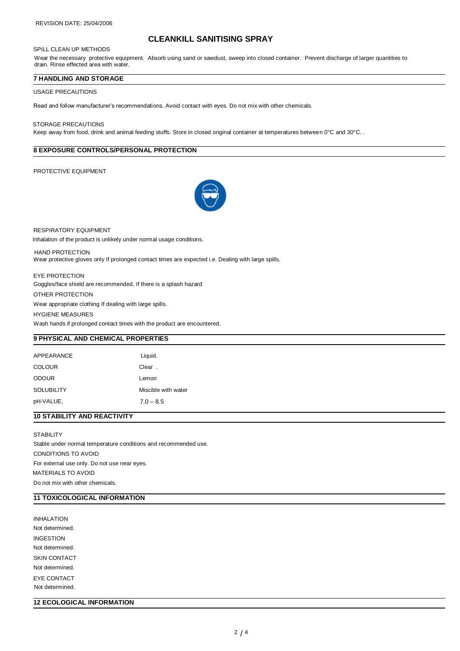#### SPILL CLEAN UP METHODS

# **CLEANKILL SANITISING SPRAY**

Wear the necessary protective equipment. Absorb using sand or sawdust, sweep into closed container. Prevent discharge of larger quantities to drain. Rinse effected area with water.

#### **7 HANDLING AND STORAGE**

#### USAGE PRECAUTIONS

Read and follow manufacturer's recommendations. Avoid contact with eyes. Do not mix with other chemicals.

#### STORAGE PRECAUTIONS

Keep away from food, drink and animal feeding stuffs. Store in closed original container at temperatures between 0°C and 30°C.

#### **8 EXPOSURE CONTROLS/PERSONAL PROTECTION**

#### PROTECTIVE EQUIPMENT



RESPIRATORY EQUIPMENT Inhalation of the product is unlikely under normal usage conditions.

 HAND PROTECTION Wear protective gloves only If prolonged contact times are expected i.e. Dealing with large spills.

EYE PROTECTION Goggles/face shield are recommended, If there is a splash hazard

OTHER PROTECTION

Wear appropriate clothing If dealing with large spills.

HYGIENE MEASURES

Wash hands if prolonged contact times with the product are encountered.

## **9 PHYSICAL AND CHEMICAL PROPERTIES**

| APPEARANCE        | Liquid.             |
|-------------------|---------------------|
| <b>COLOUR</b>     | Clear.              |
| <b>ODOUR</b>      | Lemon               |
| <b>SOLUBILITY</b> | Miscible with water |
| pH-VALUE,         | $7.0 - 8.5$         |
|                   |                     |

## **10 STABILITY AND REACTIVITY**

**STABILITY** Stable under normal temperature conditions and recommended use. CONDITIONS TO AVOID For external use only. Do not use near eyes. MATERIALS TO AVOID Do not mix with other chemicals.

## **11 TOXICOLOGICAL INFORMATION**

INHALATION Not determined. INGESTION Not determined. SKIN CONTACT Not determined. EYE CONTACT Not determined.

### **12 ECOLOGICAL INFORMATION**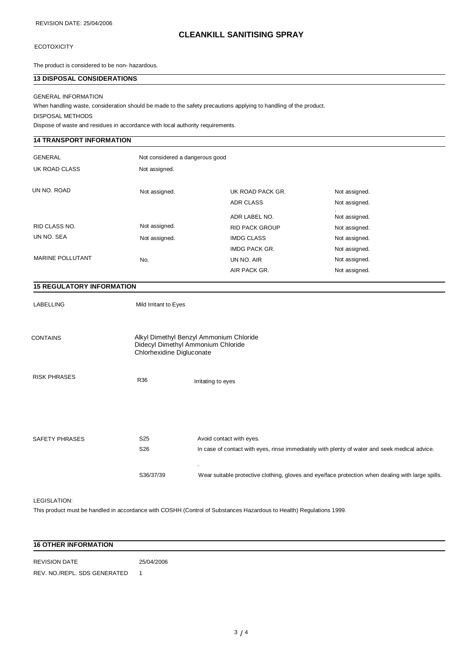# **CLEANKILL SANITISING SPRAY**

## **ECOTOXICITY**

The product is considered to be non- hazardous.

## **13 DISPOSAL CONSIDERATIONS**

#### GENERAL INFORMATION

When handling waste, consideration should be made to the safety precautions applying to handling of the product.

DISPOSAL METHODS

Dispose of waste and residues in accordance with local authority requirements.

## **14 TRANSPORT INFORMATION**

| <b>GENERAL</b><br>UK ROAD CLASS | Not considered a dangerous good<br>Not assigned. |                       |                    |
|---------------------------------|--------------------------------------------------|-----------------------|--------------------|
| UN NO. ROAD                     | Not assigned.                                    | UK ROAD PACK GR.      | Not assigned.      |
|                                 |                                                  | <b>ADR CLASS</b>      | Not assigned.      |
|                                 |                                                  | ADR LABEL NO.         | ٠<br>Not assigned. |
| <b>RID CLASS NO.</b>            | Not assigned.                                    | <b>RID PACK GROUP</b> | Not assigned.      |
| UN NO. SEA                      | Not assigned.                                    | <b>IMDG CLASS</b>     | Not assigned.      |
|                                 |                                                  | <b>IMDG PACK GR.</b>  | Not assigned.      |
| <b>MARINE POLLUTANT</b>         | No.                                              | UN NO. AIR            | Not assigned.      |
|                                 |                                                  | AIR PACK GR.          | Not assigned.      |

## **15 REGULATORY INFORMATION**

LABELLING Mild Irritant to Eyes

| <b>CONTAINS</b>     | Alkyl Dimethyl Benzyl Ammonium Chloride<br>Didecyl Dimethyl Ammonium Chloride<br>Chlorhexidine Digluconate |                                                                                                                           |
|---------------------|------------------------------------------------------------------------------------------------------------|---------------------------------------------------------------------------------------------------------------------------|
| <b>RISK PHRASES</b> | R36                                                                                                        | Irritating to eyes                                                                                                        |
| SAFETY PHRASES      | S <sub>25</sub><br>S <sub>26</sub>                                                                         | Avoid contact with eyes.<br>In case of contact with eyes, rinse immediately with plenty of water and seek medical advice. |
|                     | S36/37/39                                                                                                  | ٠<br>Wear suitable protective clothing, gloves and eye/face protection when dealing with large spills                     |

LEGISLATION:

This product must be handled in accordance with COSHH (Control of Substances Hazardous to Health) Regulations 1999.

# **16 OTHER INFORMATION** REVISION DATE 25/04/2006

REV. NO./REPL. SDS GENERATED 1